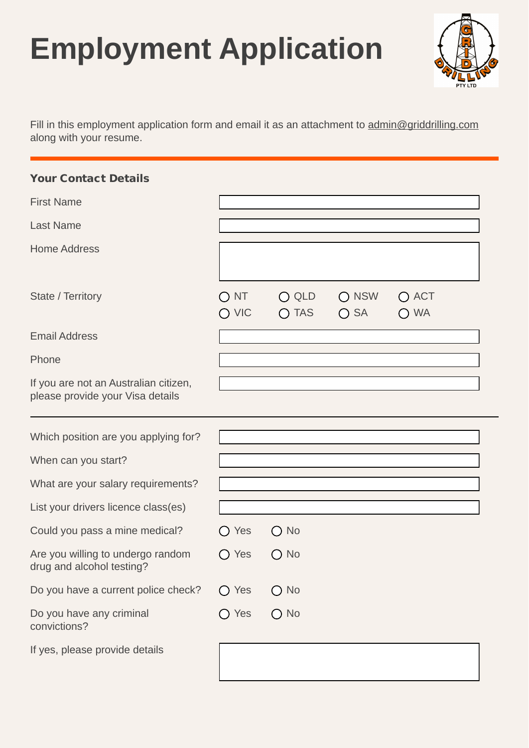## **Employment Application**



Fill in this employment application form and email it as an attachment to [admin@griddrilling.com](mailto:griddrilling@bigpond.com) along with your resume.

| <b>Your Contact Details</b>                                               |                                                      |                                                                                                 |                                |                                   |  |
|---------------------------------------------------------------------------|------------------------------------------------------|-------------------------------------------------------------------------------------------------|--------------------------------|-----------------------------------|--|
| <b>First Name</b>                                                         |                                                      |                                                                                                 |                                |                                   |  |
| <b>Last Name</b>                                                          |                                                      |                                                                                                 |                                |                                   |  |
| <b>Home Address</b>                                                       |                                                      |                                                                                                 |                                |                                   |  |
| State / Territory                                                         | <b>NT</b><br>$\bigcirc$ VIC                          | <b>QLD</b><br>$\left( \right)$<br><b>TAS</b><br>$\left( \begin{array}{c} 1 \end{array} \right)$ | $\bigcap$ NSW<br>$\bigcirc$ SA | <b>ACT</b><br>$(\ )$<br><b>WA</b> |  |
| <b>Email Address</b>                                                      |                                                      |                                                                                                 |                                |                                   |  |
| Phone                                                                     |                                                      |                                                                                                 |                                |                                   |  |
| If you are not an Australian citizen,<br>please provide your Visa details |                                                      |                                                                                                 |                                |                                   |  |
| Which position are you applying for?                                      |                                                      |                                                                                                 |                                |                                   |  |
| When can you start?                                                       |                                                      |                                                                                                 |                                |                                   |  |
| What are your salary requirements?                                        |                                                      |                                                                                                 |                                |                                   |  |
| List your drivers licence class(es)                                       |                                                      |                                                                                                 |                                |                                   |  |
| Could you pass a mine medical?                                            | Yes                                                  | <b>No</b>                                                                                       |                                |                                   |  |
|                                                                           |                                                      |                                                                                                 |                                |                                   |  |
| Are you willing to undergo random<br>drug and alcohol testing?            | Yes<br>$\left( \begin{array}{c} \end{array} \right)$ | <b>No</b><br>$\left( \quad \right)$                                                             |                                |                                   |  |
| Do you have a current police check?                                       | $\bigcirc$ Yes                                       | $\bigcirc$ No                                                                                   |                                |                                   |  |
| Do you have any criminal<br>convictions?                                  | $\bigcirc$ Yes                                       | $\bigcirc$ No                                                                                   |                                |                                   |  |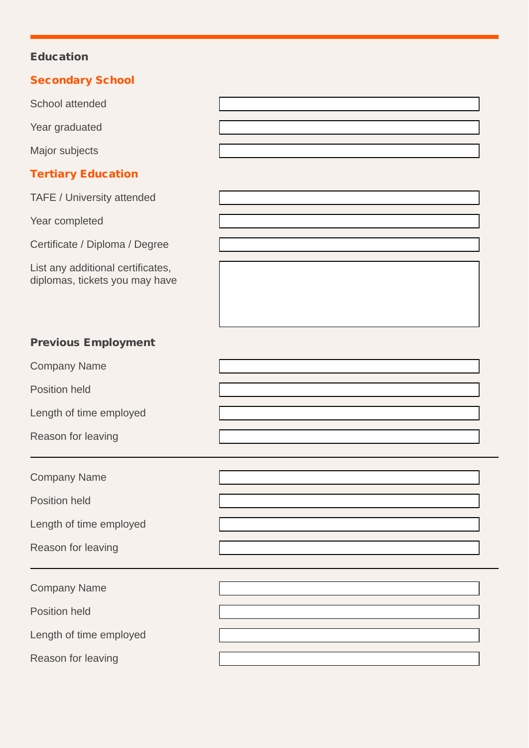## Education

| <b>Secondary School</b>                                             |  |
|---------------------------------------------------------------------|--|
| <b>School attended</b>                                              |  |
| Year graduated                                                      |  |
| Major subjects                                                      |  |
| <b>Tertiary Education</b>                                           |  |
| TAFE / University attended                                          |  |
| Year completed                                                      |  |
| Certificate / Diploma / Degree                                      |  |
| List any additional certificates,<br>diplomas, tickets you may have |  |
| <b>Previous Employment</b>                                          |  |
| <b>Company Name</b>                                                 |  |
| <b>Position held</b>                                                |  |
| Length of time employed                                             |  |
| Reason for leaving                                                  |  |
| <b>Company Name</b>                                                 |  |
| <b>Position held</b>                                                |  |
| Length of time employed                                             |  |
| Reason for leaving                                                  |  |
| <b>Company Name</b>                                                 |  |
| <b>Position held</b>                                                |  |
| Length of time employed                                             |  |

Reason for leaving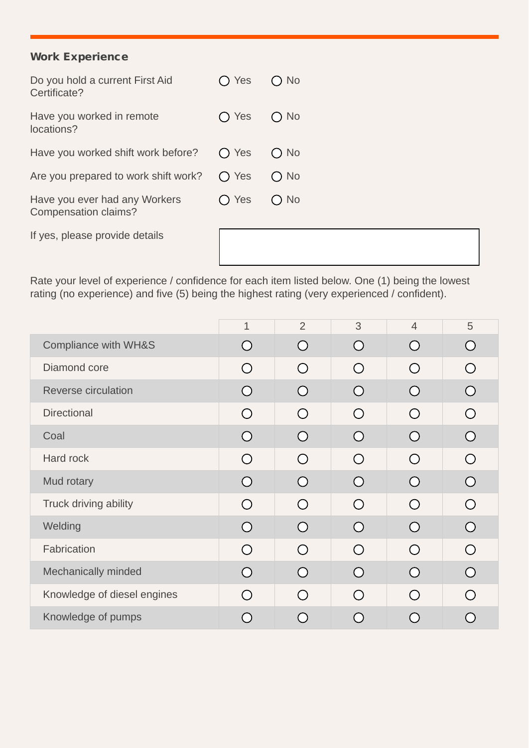## Work Experience

| Do you hold a current First Aid<br>Certificate?       | $\bigcap$ Yes | $\bigcap$ No  |
|-------------------------------------------------------|---------------|---------------|
| Have you worked in remote<br>locations?               | $\bigcap$ Yes | $\bigcap$ No  |
| Have you worked shift work before?                    | $\bigcap$ Yes | $\bigcirc$ No |
| Are you prepared to work shift work?                  | $\bigcap$ Yes | $\bigcap$ No  |
| Have you ever had any Workers<br>Compensation claims? | Yes           | $\bigcap$ No  |
| If yes, please provide details                        |               |               |

Rate your level of experience / confidence for each item listed below. One (1) being the lowest rating (no experience) and five (5) being the highest rating (very experienced / confident).

|                                 | $\overline{1}$ | $\overline{2}$                              | 3                                           | $\overline{4}$                              | 5          |
|---------------------------------|----------------|---------------------------------------------|---------------------------------------------|---------------------------------------------|------------|
| <b>Compliance with WH&amp;S</b> | ◯              | $\left(\begin{array}{c} \end{array}\right)$ | $\left(\begin{array}{c} \end{array}\right)$ | Ω                                           | ◯          |
| Diamond core                    | $\bigcirc$     | $\bigcap$                                   | $\bigcirc$                                  | $\bigcap$                                   | $\bigcirc$ |
| <b>Reverse circulation</b>      | ◯              |                                             | $\left(\begin{array}{c} \end{array}\right)$ |                                             | ∩          |
| <b>Directional</b>              | $\bigcirc$     | $\left(\begin{array}{c} \end{array}\right)$ | $\bigcap$                                   | $\bigcap$                                   | $\bigcirc$ |
| Coal                            | $\bigcap$      | Ω                                           | $\left(\begin{array}{c} \end{array}\right)$ | Ω                                           | $\bigcirc$ |
| Hard rock                       | $\bigcirc$     | $\left( \right)$                            | $\left( \right)$                            | ( )                                         | $\bigcirc$ |
| Mud rotary                      | ◯              | Ω                                           | Ω                                           | $\left(\begin{array}{c} \end{array}\right)$ | ⌒          |
| Truck driving ability           | $\bigcirc$     | $\bigcap$                                   | $\bigcap$                                   | $\bigcap$                                   | $\bigcirc$ |
| Welding                         | $\bigcirc$     | ∩                                           | $\left(\begin{array}{c} \end{array}\right)$ | $\bigcap$                                   | $\bigcirc$ |
| Fabrication                     | $\bigcap$      | $\bigcap$                                   | $\bigcap$                                   | $\bigcap$                                   | $\bigcirc$ |
| Mechanically minded             | ∩              | Ω                                           | ( )                                         |                                             | ∩          |
| Knowledge of diesel engines     | $\bigcap$      | $\cap$                                      | $\bigcirc$                                  | $\bigcap$                                   | $\bigcirc$ |
| Knowledge of pumps              |                |                                             |                                             |                                             |            |